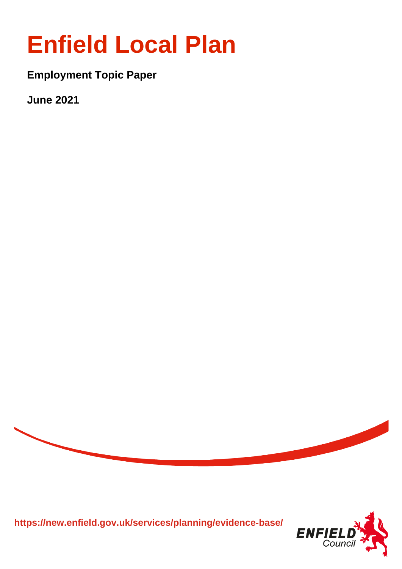# **Enfield Local Plan**

**Employment Topic Paper** 

**June 2021** 



**https://new.enfield.gov.uk/services/planning/evidence-base/**

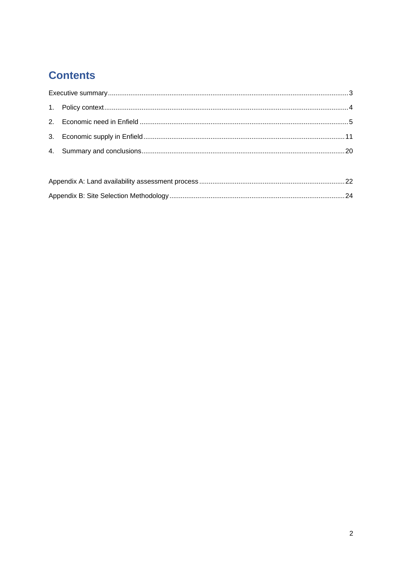# **Contents**

<span id="page-1-0"></span>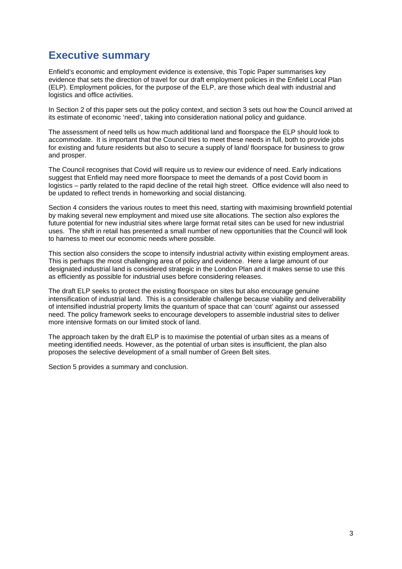# **Executive summary**

Enfield's economic and employment evidence is extensive, this Topic Paper summarises key evidence that sets the direction of travel for our draft employment policies in the Enfield Local Plan (ELP). Employment policies, for the purpose of the ELP, are those which deal with industrial and logistics and office activities.

In Section 2 of this paper sets out the policy context, and section 3 sets out how the Council arrived at its estimate of economic 'need', taking into consideration national policy and guidance.

The assessment of need tells us how much additional land and floorspace the ELP should look to accommodate. It is important that the Council tries to meet these needs in full, both to provide jobs for existing and future residents but also to secure a supply of land/ floorspace for business to grow and prosper.

The Council recognises that Covid will require us to review our evidence of need. Early indications suggest that Enfield may need more floorspace to meet the demands of a post Covid boom in logistics – partly related to the rapid decline of the retail high street. Office evidence will also need to be updated to reflect trends in homeworking and social distancing.

Section 4 considers the various routes to meet this need, starting with maximising brownfield potential by making several new employment and mixed use site allocations. The section also explores the future potential for new industrial sites where large format retail sites can be used for new industrial uses. The shift in retail has presented a small number of new opportunities that the Council will look to harness to meet our economic needs where possible.

This section also considers the scope to intensify industrial activity within existing employment areas. This is perhaps the most challenging area of policy and evidence. Here a large amount of our designated industrial land is considered strategic in the London Plan and it makes sense to use this as efficiently as possible for industrial uses before considering releases.

The draft ELP seeks to protect the existing floorspace on sites but also encourage genuine intensification of industrial land. This is a considerable challenge because viability and deliverability of intensified industrial property limits the quantum of space that can 'count' against our assessed need. The policy framework seeks to encourage developers to assemble industrial sites to deliver more intensive formats on our limited stock of land.

The approach taken by the draft ELP is to maximise the potential of urban sites as a means of meeting identified needs. However, as the potential of urban sites is insufficient, the plan also proposes the selective development of a small number of Green Belt sites.

Section 5 provides a summary and conclusion.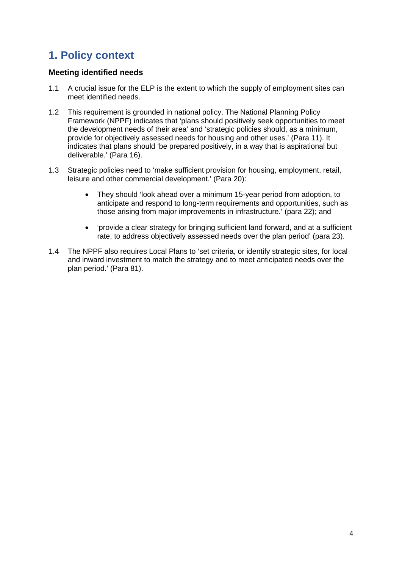# <span id="page-3-0"></span>**1. Policy context**

# **Meeting identified needs**

- 1.1 A crucial issue for the ELP is the extent to which the supply of employment sites can meet identified needs.
- 1.2 This requirement is grounded in national policy. The National Planning Policy Framework (NPPF) indicates that 'plans should positively seek opportunities to meet the development needs of their area' and 'strategic policies should, as a minimum, provide for objectively assessed needs for housing and other uses.' (Para 11). It indicates that plans should 'be prepared positively, in a way that is aspirational but deliverable.' (Para 16).
- 1.3 Strategic policies need to 'make sufficient provision for housing, employment, retail, leisure and other commercial development.' (Para 20):
	- They should 'look ahead over a minimum 15-year period from adoption, to anticipate and respond to long-term requirements and opportunities, such as those arising from major improvements in infrastructure.' (para 22); and
	- 'provide a clear strategy for bringing sufficient land forward, and at a sufficient rate, to address objectively assessed needs over the plan period' (para 23).
- 1.4 The NPPF also requires Local Plans to 'set criteria, or identify strategic sites, for local and inward investment to match the strategy and to meet anticipated needs over the plan period.' (Para 81).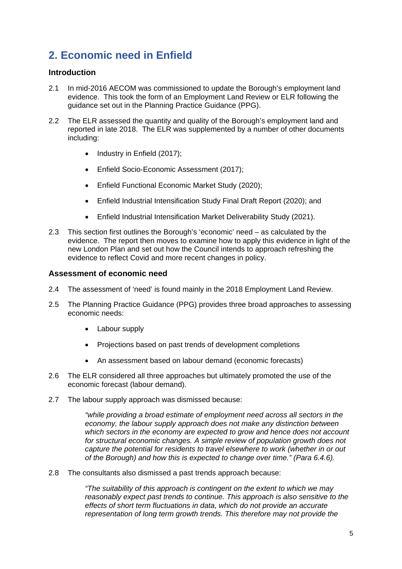# <span id="page-4-0"></span>**2. Economic need in Enfield**

# **Introduction**

- 2.1 In mid-2016 AECOM was commissioned to update the Borough's employment land evidence. This took the form of an Employment Land Review or ELR following the guidance set out in the Planning Practice Guidance (PPG).
- 2.2 The ELR assessed the quantity and quality of the Borough's employment land and reported in late 2018. The ELR was supplemented by a number of other documents including:
	- Industry in Enfield (2017);
	- Enfield Socio-Economic Assessment (2017):
	- Enfield Functional Economic Market Study (2020);
	- Enfield Industrial Intensification Study Final Draft Report (2020); and
	- Enfield Industrial Intensification Market Deliverability Study (2021).
- 2.3 This section first outlines the Borough's 'economic' need as calculated by the evidence. The report then moves to examine how to apply this evidence in light of the new London Plan and set out how the Council intends to approach refreshing the evidence to reflect Covid and more recent changes in policy.

# **Assessment of economic need**

- 2.4 The assessment of 'need' is found mainly in the 2018 Employment Land Review.
- 2.5 The Planning Practice Guidance (PPG) provides three broad approaches to assessing economic needs:
	- Labour supply
	- Projections based on past trends of development completions
	- An assessment based on labour demand (economic forecasts)
- 2.6 The ELR considered all three approaches but ultimately promoted the use of the economic forecast (labour demand).
- 2.7 The labour supply approach was dismissed because:

*"while providing a broad estimate of employment need across all sectors in the economy, the labour supply approach does not make any distinction between which sectors in the economy are expected to grow and hence does not account*  for structural economic changes. A simple review of population growth does not *capture the potential for residents to travel elsewhere to work (whether in or out of the Borough) and how this is expected to change over time." (Para 6.4.6).*

2.8 The consultants also dismissed a past trends approach because:

*"The suitability of this approach is contingent on the extent to which we may reasonably expect past trends to continue. This approach is also sensitive to the effects of short term fluctuations in data, which do not provide an accurate representation of long term growth trends. This therefore may not provide the*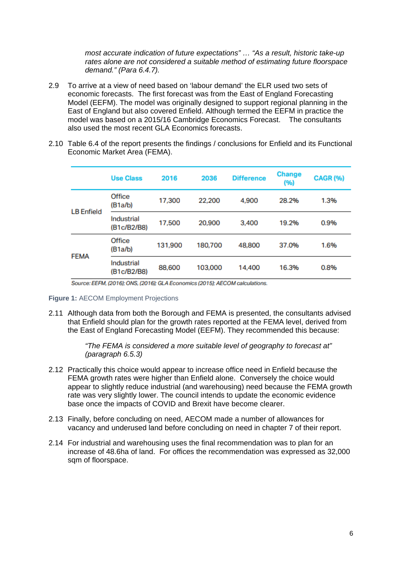*most accurate indication of future expectations" … "As a result, historic take-up rates alone are not considered a suitable method of estimating future floorspace demand." (Para 6.4.7).* 

- 2.9 To arrive at a view of need based on 'labour demand' the ELR used two sets of economic forecasts. The first forecast was from the East of England Forecasting Model (EEFM). The model was originally designed to support regional planning in the East of England but also covered Enfield. Although termed the EEFM in practice the model was based on a 2015/16 Cambridge Economics Forecast. The consultants also used the most recent GLA Economics forecasts.
- 2.10 Table 6.4 of the report presents the findings / conclusions for Enfield and its Functional Economic Market Area (FEMA).

|                   | <b>Use Class</b>          | 2016    | 2036    | <b>Difference</b> | <b>Change</b><br>(%) | <b>CAGR (%)</b> |
|-------------------|---------------------------|---------|---------|-------------------|----------------------|-----------------|
| <b>LB</b> Enfield | Office<br>(B1a/b)         | 17,300  | 22,200  | 4,900             | 28.2%                | 1.3%            |
|                   | Industrial<br>(B1c/B2/B8) | 17,500  | 20,900  | 3,400             | 19.2%                | 0.9%            |
|                   | Office<br>(B1a/b)         | 131,900 | 180,700 | 48,800            | 37.0%                | 1.6%            |
| <b>FEMA</b>       | Industrial<br>(B1c/B2/B8) | 88,600  | 103,000 | 14,400            | 16.3%                | 0.8%            |

Source: EEFM, (2016); ONS, (2016); GLA Economics (2015); AECOM calculations.

#### **Figure 1:** AECOM Employment Projections

2.11 Although data from both the Borough and FEMA is presented, the consultants advised that Enfield should plan for the growth rates reported at the FEMA level, derived from the East of England Forecasting Model (EEFM). They recommended this because:

> *"The FEMA is considered a more suitable level of geography to forecast at" (paragraph 6.5.3)*

- 2.12 Practically this choice would appear to increase office need in Enfield because the FEMA growth rates were higher than Enfield alone. Conversely the choice would appear to slightly reduce industrial (and warehousing) need because the FEMA growth rate was very slightly lower. The council intends to update the economic evidence base once the impacts of COVID and Brexit have become clearer.
- 2.13 Finally, before concluding on need, AECOM made a number of allowances for vacancy and underused land before concluding on need in chapter 7 of their report.
- 2.14 For industrial and warehousing uses the final recommendation was to plan for an increase of 48.6ha of land. For offices the recommendation was expressed as 32,000 sqm of floorspace.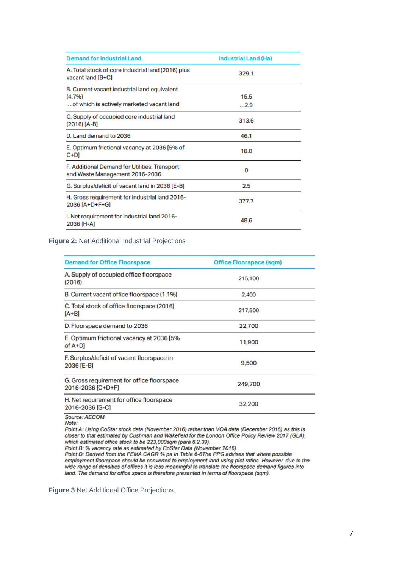| <b>Demand for Industrial Land</b>                                                                   | <b>Industrial Land (Ha)</b> |
|-----------------------------------------------------------------------------------------------------|-----------------------------|
| A. Total stock of core industrial land (2016) plus<br>vacant land [B+C]                             | 329.1                       |
| B. Current vacant industrial land equivalent<br>(4.7%)<br>of which is actively marketed vacant land | 15.5<br>2.9                 |
| C. Supply of occupied core industrial land<br>$(2016)$ [A-B]                                        | 313.6                       |
| D. Land demand to 2036                                                                              | 46.1                        |
| E. Optimum frictional vacancy at 2036 [5% of<br>$C+D$                                               | 18.0                        |
| F. Additional Demand for Utilities, Transport<br>and Waste Management 2016-2036                     | 0                           |
| G. Surplus/deficit of vacant land in 2036 [E-B]                                                     | 2.5                         |
| H. Gross requirement for industrial land 2016-<br>2036 [A+D+F+G]                                    | 377.7                       |
| I. Net requirement for industrial land 2016-<br>2036 [H-A]                                          | 48.6                        |

#### **Figure 2:** Net Additional Industrial Projections

| <b>Demand for Office Floorspace</b>                             | <b>Office Floorspace (sqm)</b> |
|-----------------------------------------------------------------|--------------------------------|
| A. Supply of occupied office floorspace<br>(2016)               | 215,100                        |
| B. Current vacant office floorspace (1.1%)                      | 2,400                          |
| C. Total stock of office floorspace (2016)<br>$[A+B]$           | 217,500                        |
| D. Floorspace demand to 2036                                    | 22,700                         |
| E. Optimum frictional vacancy at 2036 [5%<br>$of A+D]$          | 11,900                         |
| F. Surplus/deficit of vacant floorspace in<br>2036 [E-B]        | 9,500                          |
| G. Gross requirement for office floorspace<br>2016-2036 [C+D+F] | 249,700                        |
| H. Net requirement for office floorspace<br>2016-2036 [G-C]     | 32,200                         |
| Source: AECOM.                                                  |                                |

Note:

Point A: Using CoStar stock data (November 2016) rather than VOA data (December 2016) as this is closer to that estimated by Cushman and Wakefield for the London Office Policy Review 2017 (GLA), which estimated office stock to be 223,000sqm (para 6.2.39).

Point B: % vacancy rate as estimated by CoStar Data (November 2016).<br>Point B: % vacancy rate as estimated by CoStar Data (November 2016).<br>Point D: Derived from the FEMA CAGR % pa in Table 6-6The PPG advises that where poss wide range of densities of offices it is less meaningful to translate the floorspace demand figures into land. The demand for office space is therefore presented in terms of floorspace (sqm).

**Figure 3** Net Additional Office Projections.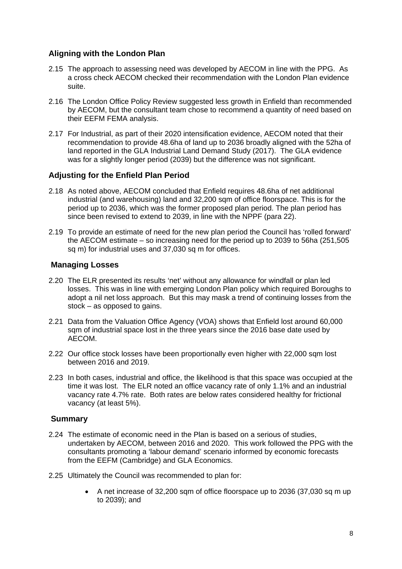# **Aligning with the London Plan**

- 2.15 The approach to assessing need was developed by AECOM in line with the PPG. As a cross check AECOM checked their recommendation with the London Plan evidence suite.
- 2.16 The London Office Policy Review suggested less growth in Enfield than recommended by AECOM, but the consultant team chose to recommend a quantity of need based on their EEFM FEMA analysis.
- 2.17 For Industrial, as part of their 2020 intensification evidence, AECOM noted that their recommendation to provide 48.6ha of land up to 2036 broadly aligned with the 52ha of land reported in the GLA Industrial Land Demand Study (2017). The GLA evidence was for a slightly longer period (2039) but the difference was not significant.

# **Adjusting for the Enfield Plan Period**

- 2.18 As noted above, AECOM concluded that Enfield requires 48.6ha of net additional industrial (and warehousing) land and 32,200 sqm of office floorspace. This is for the period up to 2036, which was the former proposed plan period. The plan period has since been revised to extend to 2039, in line with the NPPF (para 22).
- 2.19 To provide an estimate of need for the new plan period the Council has 'rolled forward' the AECOM estimate – so increasing need for the period up to 2039 to 56ha (251,505 sq m) for industrial uses and 37,030 sq m for offices.

# **Managing Losses**

- 2.20 The ELR presented its results 'net' without any allowance for windfall or plan led losses. This was in line with emerging London Plan policy which required Boroughs to adopt a nil net loss approach. But this may mask a trend of continuing losses from the stock – as opposed to gains.
- 2.21 Data from the Valuation Office Agency (VOA) shows that Enfield lost around 60,000 sqm of industrial space lost in the three years since the 2016 base date used by AECOM.
- 2.22 Our office stock losses have been proportionally even higher with 22,000 sqm lost between 2016 and 2019.
- 2.23 In both cases, industrial and office, the likelihood is that this space was occupied at the time it was lost. The ELR noted an office vacancy rate of only 1.1% and an industrial vacancy rate 4.7% rate. Both rates are below rates considered healthy for frictional vacancy (at least 5%).

# **Summary**

- 2.24 The estimate of economic need in the Plan is based on a serious of studies, undertaken by AECOM, between 2016 and 2020. This work followed the PPG with the consultants promoting a 'labour demand' scenario informed by economic forecasts from the EEFM (Cambridge) and GLA Economics.
- 2.25 Ultimately the Council was recommended to plan for:
	- A net increase of 32,200 sqm of office floorspace up to 2036 (37,030 sq m up to 2039); and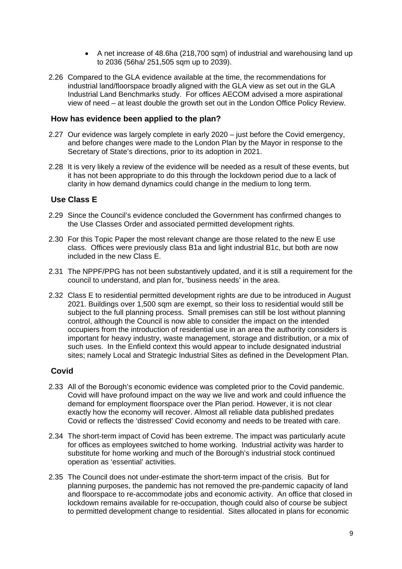- A net increase of 48.6ha (218,700 sqm) of industrial and warehousing land up to 2036 (56ha/ 251,505 sqm up to 2039).
- 2.26 Compared to the GLA evidence available at the time, the recommendations for industrial land/floorspace broadly aligned with the GLA view as set out in the GLA Industrial Land Benchmarks study. For offices AECOM advised a more aspirational view of need – at least double the growth set out in the London Office Policy Review.

### **How has evidence been applied to the plan?**

- 2.27 Our evidence was largely complete in early 2020 just before the Covid emergency, and before changes were made to the London Plan by the Mayor in response to the Secretary of State's directions, prior to its adoption in 2021.
- 2.28 It is very likely a review of the evidence will be needed as a result of these events, but it has not been appropriate to do this through the lockdown period due to a lack of clarity in how demand dynamics could change in the medium to long term.

# **Use Class E**

- 2.29 Since the Council's evidence concluded the Government has confirmed changes to the Use Classes Order and associated permitted development rights.
- 2.30 For this Topic Paper the most relevant change are those related to the new E use class. Offices were previously class B1a and light industrial B1c, but both are now included in the new Class E.
- 2.31 The NPPF/PPG has not been substantively updated, and it is still a requirement for the council to understand, and plan for, 'business needs' in the area.
- 2.32 Class E to residential permitted development rights are due to be introduced in August 2021. Buildings over 1,500 sqm are exempt, so their loss to residential would still be subject to the full planning process. Small premises can still be lost without planning control, although the Council is now able to consider the impact on the intended occupiers from the introduction of residential use in an area the authority considers is important for heavy industry, waste management, storage and distribution, or a mix of such uses. In the Enfield context this would appear to include designated industrial sites; namely Local and Strategic Industrial Sites as defined in the Development Plan.

# **Covid**

- 2.33 All of the Borough's economic evidence was completed prior to the Covid pandemic. Covid will have profound impact on the way we live and work and could influence the demand for employment floorspace over the Plan period. However, it is not clear exactly how the economy will recover. Almost all reliable data published predates Covid or reflects the 'distressed' Covid economy and needs to be treated with care.
- 2.34 The short-term impact of Covid has been extreme. The impact was particularly acute for offices as employees switched to home working. Industrial activity was harder to substitute for home working and much of the Borough's industrial stock continued operation as 'essential' activities.
- 2.35 The Council does not under-estimate the short-term impact of the crisis. But for planning purposes, the pandemic has not removed the pre-pandemic capacity of land and floorspace to re-accommodate jobs and economic activity. An office that closed in lockdown remains available for re-occupation, though could also of course be subject to permitted development change to residential. Sites allocated in plans for economic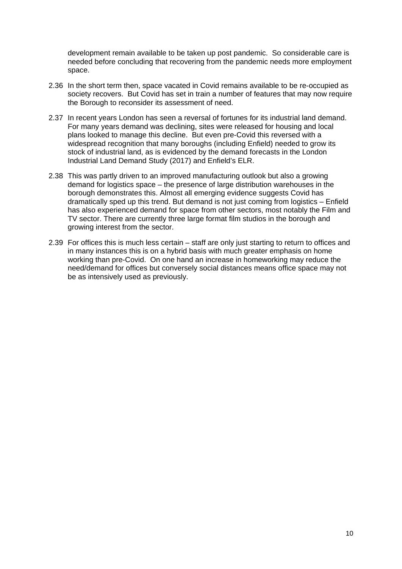development remain available to be taken up post pandemic. So considerable care is needed before concluding that recovering from the pandemic needs more employment space.

- 2.36 In the short term then, space vacated in Covid remains available to be re-occupied as society recovers. But Covid has set in train a number of features that may now require the Borough to reconsider its assessment of need.
- 2.37 In recent years London has seen a reversal of fortunes for its industrial land demand. For many years demand was declining, sites were released for housing and local plans looked to manage this decline. But even pre-Covid this reversed with a widespread recognition that many boroughs (including Enfield) needed to grow its stock of industrial land, as is evidenced by the demand forecasts in the London Industrial Land Demand Study (2017) and Enfield's ELR.
- 2.38 This was partly driven to an improved manufacturing outlook but also a growing demand for logistics space – the presence of large distribution warehouses in the borough demonstrates this. Almost all emerging evidence suggests Covid has dramatically sped up this trend. But demand is not just coming from logistics – Enfield has also experienced demand for space from other sectors, most notably the Film and TV sector. There are currently three large format film studios in the borough and growing interest from the sector.
- 2.39 For offices this is much less certain staff are only just starting to return to offices and in many instances this is on a hybrid basis with much greater emphasis on home working than pre-Covid. On one hand an increase in homeworking may reduce the need/demand for offices but conversely social distances means office space may not be as intensively used as previously.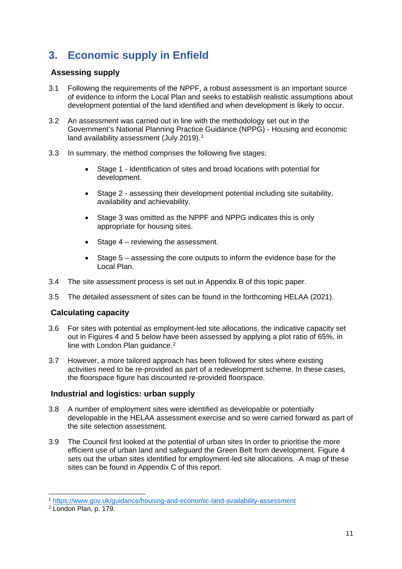# <span id="page-10-0"></span>**3. Economic supply in Enfield**

# **Assessing supply**

- 3.1 Following the requirements of the NPPF, a robust assessment is an important source of evidence to inform the Local Plan and seeks to establish realistic assumptions about development potential of the land identified and when development is likely to occur.
- 3.2 An assessment was carried out in line with the methodology set out in the Government's National Planning Practice Guidance (NPPG) - Housing and economic land availability assessment (July 20[1](#page-10-1)9).<sup>1</sup>
- 3.3 In summary, the method comprises the following five stages:
	- Stage 1 Identification of sites and broad locations with potential for development.
	- Stage 2 assessing their development potential including site suitability, availability and achievability.
	- Stage 3 was omitted as the NPPF and NPPG indicates this is only appropriate for housing sites.
	- Stage 4 reviewing the assessment.
	- Stage 5 assessing the core outputs to inform the evidence base for the Local Plan.
- 3.4 The site assessment process is set out in Appendix B of this topic paper.
- 3.5 The detailed assessment of sites can be found in the forthcoming HELAA (2021).

# **Calculating capacity**

- 3.6 For sites with potential as employment-led site allocations, the indicative capacity set out in Figures 4 and 5 below have been assessed by applying a plot ratio of 65%, in line with London Plan guidance.<sup>[2](#page-10-2)</sup>
- 3.7 However, a more tailored approach has been followed for sites where existing activities need to be re-provided as part of a redevelopment scheme. In these cases, the floorspace figure has discounted re-provided floorspace.

# **Industrial and logistics: urban supply**

- 3.8 A number of employment sites were identified as developable or potentially developable in the HELAA assessment exercise and so were carried forward as part of the site selection assessment.
- 3.9 The Council first looked at the potential of urban sites In order to prioritise the more efficient use of urban land and safeguard the Green Belt from development. Figure 4 sets out the urban sites identified for employment-led site allocations. A map of these sites can be found in Appendix C of this report.

<span id="page-10-1"></span> <sup>1</sup> <https://www.gov.uk/guidance/housing-and-economic-land-availability-assessment>

<span id="page-10-2"></span><sup>2</sup> London Plan, p. 179.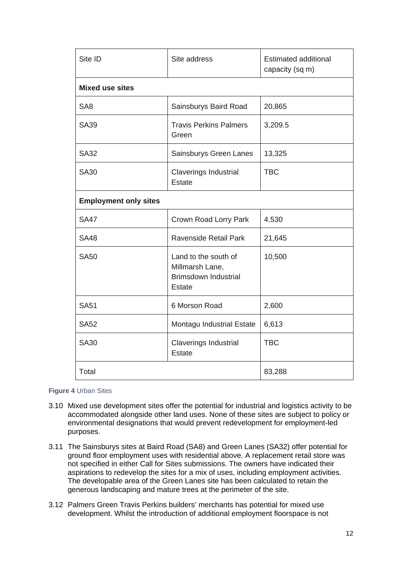| Site ID                      | Site address                                                                     | <b>Estimated additional</b><br>capacity (sq m) |  |
|------------------------------|----------------------------------------------------------------------------------|------------------------------------------------|--|
| <b>Mixed use sites</b>       |                                                                                  |                                                |  |
| SA <sub>8</sub>              | Sainsburys Baird Road                                                            | 20,865                                         |  |
| <b>SA39</b>                  | <b>Travis Perkins Palmers</b><br>Green                                           | 3,209.5                                        |  |
| <b>SA32</b>                  | Sainsburys Green Lanes                                                           | 13,325                                         |  |
| <b>SA30</b>                  | <b>Claverings Industrial</b><br><b>Estate</b>                                    | <b>TBC</b>                                     |  |
| <b>Employment only sites</b> |                                                                                  |                                                |  |
| <b>SA47</b>                  | Crown Road Lorry Park                                                            | 4,530                                          |  |
| <b>SA48</b>                  | Ravenside Retail Park                                                            | 21,645                                         |  |
| <b>SA50</b>                  | Land to the south of<br>Millmarsh Lane,<br><b>Brimsdown Industrial</b><br>Estate | 10,500                                         |  |
| <b>SA51</b>                  | 6 Morson Road                                                                    | 2,600                                          |  |
| <b>SA52</b>                  | Montagu Industrial Estate                                                        | 6,613                                          |  |
| <b>SA30</b>                  | Claverings Industrial<br>Estate                                                  | <b>TBC</b>                                     |  |
| Total                        |                                                                                  | 83,288                                         |  |

#### **Figure 4** Urban Sites

- 3.10 Mixed use development sites offer the potential for industrial and logistics activity to be accommodated alongside other land uses. None of these sites are subject to policy or environmental designations that would prevent redevelopment for employment-led purposes.
- 3.11 The Sainsburys sites at Baird Road (SA8) and Green Lanes (SA32) offer potential for ground floor employment uses with residential above. A replacement retail store was not specified in either Call for Sites submissions. The owners have indicated their aspirations to redevelop the sites for a mix of uses, including employment activities. The developable area of the Green Lanes site has been calculated to retain the generous landscaping and mature trees at the perimeter of the site.
- 3.12 Palmers Green Travis Perkins builders' merchants has potential for mixed use development. Whilst the introduction of additional employment floorspace is not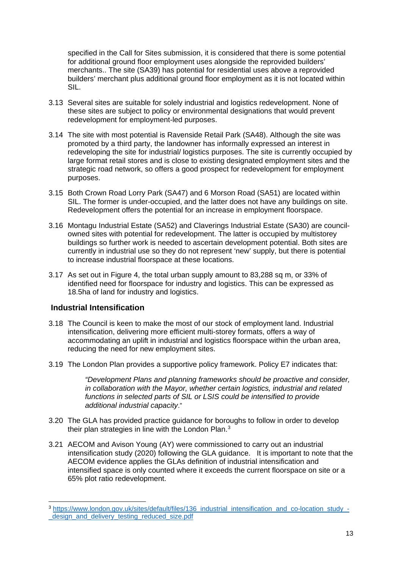specified in the Call for Sites submission, it is considered that there is some potential for additional ground floor employment uses alongside the reprovided builders' merchants.. The site (SA39) has potential for residential uses above a reprovided builders' merchant plus additional ground floor employment as it is not located within SIL.

- 3.13 Several sites are suitable for solely industrial and logistics redevelopment. None of these sites are subject to policy or environmental designations that would prevent redevelopment for employment-led purposes.
- 3.14 The site with most potential is Ravenside Retail Park (SA48). Although the site was promoted by a third party, the landowner has informally expressed an interest in redeveloping the site for industrial/ logistics purposes. The site is currently occupied by large format retail stores and is close to existing designated employment sites and the strategic road network, so offers a good prospect for redevelopment for employment purposes.
- 3.15 Both Crown Road Lorry Park (SA47) and 6 Morson Road (SA51) are located within SIL. The former is under-occupied, and the latter does not have any buildings on site. Redevelopment offers the potential for an increase in employment floorspace.
- 3.16 Montagu Industrial Estate (SA52) and Claverings Industrial Estate (SA30) are councilowned sites with potential for redevelopment. The latter is occupied by multistorey buildings so further work is needed to ascertain development potential. Both sites are currently in industrial use so they do not represent 'new' supply, but there is potential to increase industrial floorspace at these locations.
- 3.17 As set out in Figure 4, the total urban supply amount to 83,288 sq m, or 33% of identified need for floorspace for industry and logistics. This can be expressed as 18.5ha of land for industry and logistics.

# **Industrial Intensification**

- 3.18 The Council is keen to make the most of our stock of employment land. Industrial intensification, delivering more efficient multi-storey formats, offers a way of accommodating an uplift in industrial and logistics floorspace within the urban area, reducing the need for new employment sites.
- 3.19 The London Plan provides a supportive policy framework. Policy E7 indicates that:

*"Development Plans and planning frameworks should be proactive and consider, in collaboration with the Mayor, whether certain logistics, industrial and related functions in selected parts of SIL or LSIS could be intensified to provide additional industrial capacity*."

- 3.20 The GLA has provided practice guidance for boroughs to follow in order to develop their plan strategies in line with the London Plan.<sup>[3](#page-13-0)</sup>
- 3.21 AECOM and Avison Young (AY) were commissioned to carry out an industrial intensification study (2020) following the GLA guidance. It is important to note that the AECOM evidence applies the GLAs definition of industrial intensification and intensified space is only counted where it exceeds the current floorspace on site or a 65% plot ratio redevelopment.

<sup>3</sup> [https://www.london.gov.uk/sites/default/files/136\\_industrial\\_intensification\\_and\\_co-location\\_study\\_-](https://www.london.gov.uk/sites/default/files/136_industrial_intensification_and_co-location_study_-_design_and_delivery_testing_reduced_size.pdf) [\\_design\\_and\\_delivery\\_testing\\_reduced\\_size.pdf](https://www.london.gov.uk/sites/default/files/136_industrial_intensification_and_co-location_study_-_design_and_delivery_testing_reduced_size.pdf)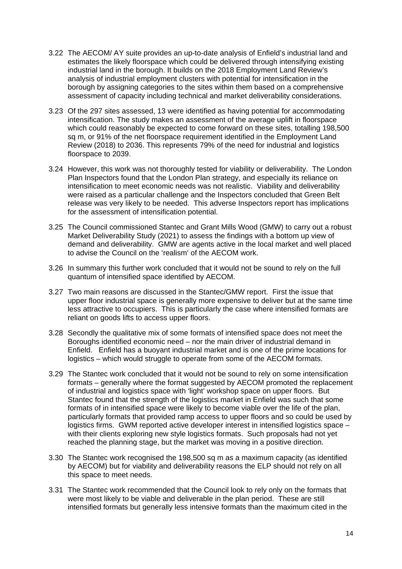- 3.22 The AECOM/ AY suite provides an up-to-date analysis of Enfield's industrial land and estimates the likely floorspace which could be delivered through intensifying existing industrial land in the borough. It builds on the 2018 Employment Land Review's analysis of industrial employment clusters with potential for intensification in the borough by assigning categories to the sites within them based on a comprehensive assessment of capacity including technical and market deliverability considerations.
- 3.23 Of the 297 sites assessed, 13 were identified as having potential for accommodating intensification. The study makes an assessment of the average uplift in floorspace which could reasonably be expected to come forward on these sites, totalling 198,500 sq m, or 91% of the net floorspace requirement identified in the Employment Land Review (2018) to 2036. This represents 79% of the need for industrial and logistics floorspace to 2039.
- 3.24 However, this work was not thoroughly tested for viability or deliverability. The London Plan Inspectors found that the London Plan strategy, and especially its reliance on intensification to meet economic needs was not realistic. Viability and deliverability were raised as a particular challenge and the Inspectors concluded that Green Belt release was very likely to be needed. This adverse Inspectors report has implications for the assessment of intensification potential.
- 3.25 The Council commissioned Stantec and Grant Mills Wood (GMW) to carry out a robust Market Deliverability Study (2021) to assess the findings with a bottom up view of demand and deliverability. GMW are agents active in the local market and well placed to advise the Council on the 'realism' of the AECOM work.
- 3.26 In summary this further work concluded that it would not be sound to rely on the full quantum of intensified space identified by AECOM.
- 3.27 Two main reasons are discussed in the Stantec/GMW report. First the issue that upper floor industrial space is generally more expensive to deliver but at the same time less attractive to occupiers. This is particularly the case where intensified formats are reliant on goods lifts to access upper floors.
- 3.28 Secondly the qualitative mix of some formats of intensified space does not meet the Boroughs identified economic need – nor the main driver of industrial demand in Enfield. Enfield has a buoyant industrial market and is one of the prime locations for logistics – which would struggle to operate from some of the AECOM formats.
- 3.29 The Stantec work concluded that it would not be sound to rely on some intensification formats – generally where the format suggested by AECOM promoted the replacement of industrial and logistics space with 'light' workshop space on upper floors. But Stantec found that the strength of the logistics market in Enfield was such that some formats of in intensified space were likely to become viable over the life of the plan, particularly formats that provided ramp access to upper floors and so could be used by logistics firms. GWM reported active developer interest in intensified logistics space – with their clients exploring new style logistics formats. Such proposals had not yet reached the planning stage, but the market was moving in a positive direction.
- 3.30 The Stantec work recognised the 198,500 sq m as a maximum capacity (as identified by AECOM) but for viability and deliverability reasons the ELP should not rely on all this space to meet needs.
- <span id="page-13-0"></span>3.31 The Stantec work recommended that the Council look to rely only on the formats that were most likely to be viable and deliverable in the plan period. These are still intensified formats but generally less intensive formats than the maximum cited in the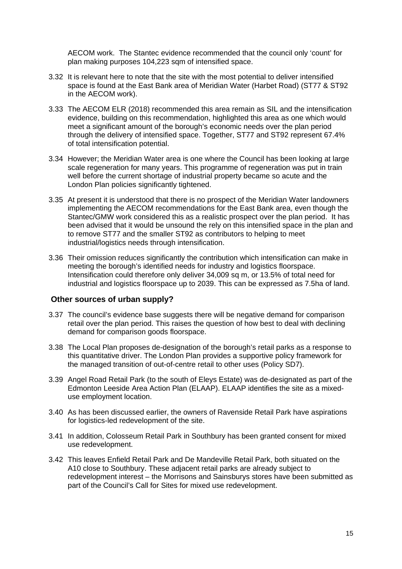AECOM work. The Stantec evidence recommended that the council only 'count' for plan making purposes 104,223 sqm of intensified space.

- 3.32 It is relevant here to note that the site with the most potential to deliver intensified space is found at the East Bank area of Meridian Water (Harbet Road) (ST77 & ST92 in the AECOM work).
- 3.33 The AECOM ELR (2018) recommended this area remain as SIL and the intensification evidence, building on this recommendation, highlighted this area as one which would meet a significant amount of the borough's economic needs over the plan period through the delivery of intensified space. Together, ST77 and ST92 represent 67.4% of total intensification potential.
- 3.34 However; the Meridian Water area is one where the Council has been looking at large scale regeneration for many years. This programme of regeneration was put in train well before the current shortage of industrial property became so acute and the London Plan policies significantly tightened.
- 3.35 At present it is understood that there is no prospect of the Meridian Water landowners implementing the AECOM recommendations for the East Bank area, even though the Stantec/GMW work considered this as a realistic prospect over the plan period. It has been advised that it would be unsound the rely on this intensified space in the plan and to remove ST77 and the smaller ST92 as contributors to helping to meet industrial/logistics needs through intensification.
- 3.36 Their omission reduces significantly the contribution which intensification can make in meeting the borough's identified needs for industry and logistics floorspace. Intensification could therefore only deliver 34,009 sq m, or 13.5% of total need for industrial and logistics floorspace up to 2039. This can be expressed as 7.5ha of land.

#### **Other sources of urban supply?**

- 3.37 The council's evidence base suggests there will be negative demand for comparison retail over the plan period. This raises the question of how best to deal with declining demand for comparison goods floorspace.
- 3.38 The Local Plan proposes de-designation of the borough's retail parks as a response to this quantitative driver. The London Plan provides a supportive policy framework for the managed transition of out-of-centre retail to other uses (Policy SD7).
- 3.39 Angel Road Retail Park (to the south of Eleys Estate) was de-designated as part of the Edmonton Leeside Area Action Plan (ELAAP). ELAAP identifies the site as a mixeduse employment location.
- 3.40 As has been discussed earlier, the owners of Ravenside Retail Park have aspirations for logistics-led redevelopment of the site.
- 3.41 In addition, Colosseum Retail Park in Southbury has been granted consent for mixed use redevelopment.
- 3.42 This leaves Enfield Retail Park and De Mandeville Retail Park, both situated on the A10 close to Southbury. These adjacent retail parks are already subject to redevelopment interest – the Morrisons and Sainsburys stores have been submitted as part of the Council's Call for Sites for mixed use redevelopment.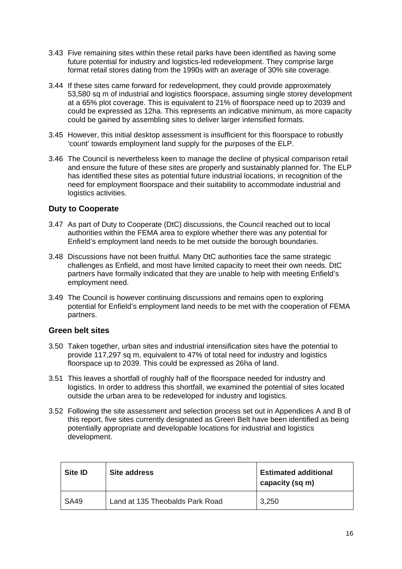- 3.43 Five remaining sites within these retail parks have been identified as having some future potential for industry and logistics-led redevelopment. They comprise large format retail stores dating from the 1990s with an average of 30% site coverage.
- 3.44 If these sites came forward for redevelopment, they could provide approximately 53,580 sq m of industrial and logistics floorspace, assuming single storey development at a 65% plot coverage. This is equivalent to 21% of floorspace need up to 2039 and could be expressed as 12ha. This represents an indicative minimum, as more capacity could be gained by assembling sites to deliver larger intensified formats.
- 3.45 However, this initial desktop assessment is insufficient for this floorspace to robustly 'count' towards employment land supply for the purposes of the ELP.
- 3.46 The Council is nevertheless keen to manage the decline of physical comparison retail and ensure the future of these sites are properly and sustainably planned for. The ELP has identified these sites as potential future industrial locations, in recognition of the need for employment floorspace and their suitability to accommodate industrial and logistics activities.

# **Duty to Cooperate**

- 3.47 As part of Duty to Cooperate (DtC) discussions, the Council reached out to local authorities within the FEMA area to explore whether there was any potential for Enfield's employment land needs to be met outside the borough boundaries.
- 3.48 Discussions have not been fruitful. Many DtC authorities face the same strategic challenges as Enfield, and most have limited capacity to meet their own needs. DtC partners have formally indicated that they are unable to help with meeting Enfield's employment need.
- 3.49 The Council is however continuing discussions and remains open to exploring potential for Enfield's employment land needs to be met with the cooperation of FEMA partners.

# **Green belt sites**

- 3.50 Taken together, urban sites and industrial intensification sites have the potential to provide 117,297 sq m, equivalent to 47% of total need for industry and logistics floorspace up to 2039. This could be expressed as 26ha of land.
- 3.51 This leaves a shortfall of roughly half of the floorspace needed for industry and logistics. In order to address this shortfall, we examined the potential of sites located outside the urban area to be redeveloped for industry and logistics.
- 3.52 Following the site assessment and selection process set out in Appendices A and B of this report, five sites currently designated as Green Belt have been identified as being potentially appropriate and developable locations for industrial and logistics development.

| <b>Site ID</b> | Site address                    | <b>Estimated additional</b><br>capacity (sq m) |
|----------------|---------------------------------|------------------------------------------------|
| <b>SA49</b>    | Land at 135 Theobalds Park Road | 3,250                                          |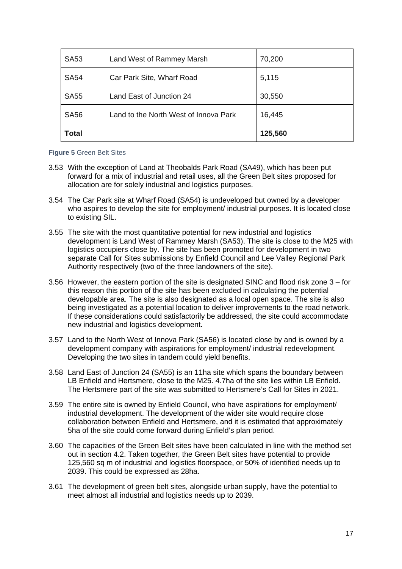| <b>SA53</b>  | Land West of Rammey Marsh             | 70,200  |
|--------------|---------------------------------------|---------|
| <b>SA54</b>  | Car Park Site, Wharf Road             | 5,115   |
| <b>SA55</b>  | Land East of Junction 24              | 30,550  |
| <b>SA56</b>  | Land to the North West of Innova Park | 16,445  |
| <b>Total</b> |                                       | 125,560 |

#### **Figure 5** Green Belt Sites

- 3.53 With the exception of Land at Theobalds Park Road (SA49), which has been put forward for a mix of industrial and retail uses, all the Green Belt sites proposed for allocation are for solely industrial and logistics purposes.
- 3.54 The Car Park site at Wharf Road (SA54) is undeveloped but owned by a developer who aspires to develop the site for employment/ industrial purposes. It is located close to existing SIL.
- 3.55 The site with the most quantitative potential for new industrial and logistics development is Land West of Rammey Marsh (SA53). The site is close to the M25 with logistics occupiers close by. The site has been promoted for development in two separate Call for Sites submissions by Enfield Council and Lee Valley Regional Park Authority respectively (two of the three landowners of the site).
- 3.56 However, the eastern portion of the site is designated SINC and flood risk zone 3 for this reason this portion of the site has been excluded in calculating the potential developable area. The site is also designated as a local open space. The site is also being investigated as a potential location to deliver improvements to the road network. If these considerations could satisfactorily be addressed, the site could accommodate new industrial and logistics development.
- 3.57 Land to the North West of Innova Park (SA56) is located close by and is owned by a development company with aspirations for employment/ industrial redevelopment. Developing the two sites in tandem could yield benefits.
- 3.58 Land East of Junction 24 (SA55) is an 11ha site which spans the boundary between LB Enfield and Hertsmere, close to the M25. 4.7ha of the site lies within LB Enfield. The Hertsmere part of the site was submitted to Hertsmere's Call for Sites in 2021.
- 3.59 The entire site is owned by Enfield Council, who have aspirations for employment/ industrial development. The development of the wider site would require close collaboration between Enfield and Hertsmere, and it is estimated that approximately 5ha of the site could come forward during Enfield's plan period.
- 3.60 The capacities of the Green Belt sites have been calculated in line with the method set out in section 4.2. Taken together, the Green Belt sites have potential to provide 125,560 sq m of industrial and logistics floorspace, or 50% of identified needs up to 2039. This could be expressed as 28ha.
- 3.61 The development of green belt sites, alongside urban supply, have the potential to meet almost all industrial and logistics needs up to 2039.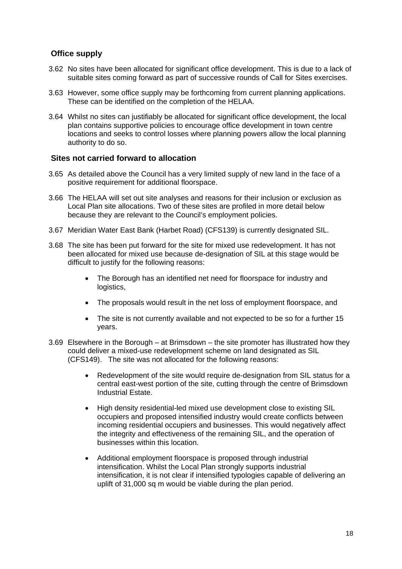# **Office supply**

- 3.62 No sites have been allocated for significant office development. This is due to a lack of suitable sites coming forward as part of successive rounds of Call for Sites exercises.
- 3.63 However, some office supply may be forthcoming from current planning applications. These can be identified on the completion of the HELAA.
- 3.64 Whilst no sites can justifiably be allocated for significant office development, the local plan contains supportive policies to encourage office development in town centre locations and seeks to control losses where planning powers allow the local planning authority to do so.

### **Sites not carried forward to allocation**

- 3.65 As detailed above the Council has a very limited supply of new land in the face of a positive requirement for additional floorspace.
- 3.66 The HELAA will set out site analyses and reasons for their inclusion or exclusion as Local Plan site allocations. Two of these sites are profiled in more detail below because they are relevant to the Council's employment policies.
- 3.67 Meridian Water East Bank (Harbet Road) (CFS139) is currently designated SIL.
- 3.68 The site has been put forward for the site for mixed use redevelopment. It has not been allocated for mixed use because de-designation of SIL at this stage would be difficult to justify for the following reasons:
	- The Borough has an identified net need for floorspace for industry and logistics,
	- The proposals would result in the net loss of employment floorspace, and
	- The site is not currently available and not expected to be so for a further 15 years.
- 3.69 Elsewhere in the Borough at Brimsdown the site promoter has illustrated how they could deliver a mixed-use redevelopment scheme on land designated as SIL (CFS149). The site was not allocated for the following reasons:
	- Redevelopment of the site would require de-designation from SIL status for a central east-west portion of the site, cutting through the centre of Brimsdown Industrial Estate.
	- High density residential-led mixed use development close to existing SIL occupiers and proposed intensified industry would create conflicts between incoming residential occupiers and businesses. This would negatively affect the integrity and effectiveness of the remaining SIL, and the operation of businesses within this location.
	- Additional employment floorspace is proposed through industrial intensification. Whilst the Local Plan strongly supports industrial intensification, it is not clear if intensified typologies capable of delivering an uplift of 31,000 sq m would be viable during the plan period.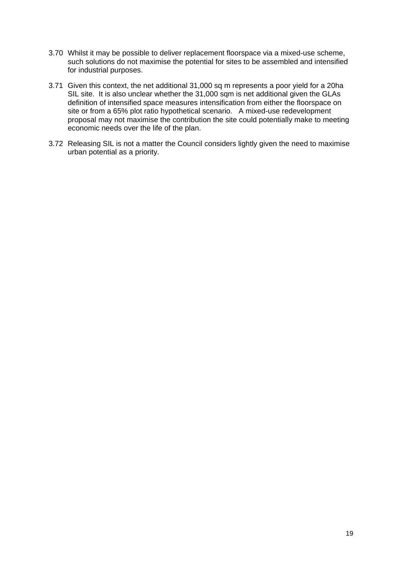- 3.70 Whilst it may be possible to deliver replacement floorspace via a mixed-use scheme, such solutions do not maximise the potential for sites to be assembled and intensified for industrial purposes.
- 3.71 Given this context, the net additional 31,000 sq m represents a poor yield for a 20ha SIL site. It is also unclear whether the 31,000 sqm is net additional given the GLAs definition of intensified space measures intensification from either the floorspace on site or from a 65% plot ratio hypothetical scenario. A mixed-use redevelopment proposal may not maximise the contribution the site could potentially make to meeting economic needs over the life of the plan.
- 3.72 Releasing SIL is not a matter the Council considers lightly given the need to maximise urban potential as a priority.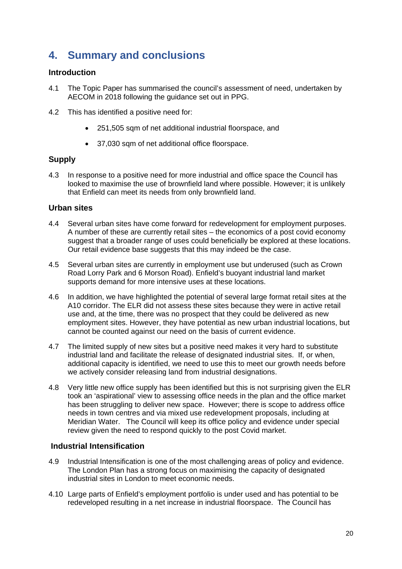# <span id="page-19-0"></span>**4. Summary and conclusions**

### **Introduction**

- 4.1 The Topic Paper has summarised the council's assessment of need, undertaken by AECOM in 2018 following the guidance set out in PPG.
- 4.2 This has identified a positive need for:
	- 251,505 sqm of net additional industrial floorspace, and
	- 37,030 sqm of net additional office floorspace.

# **Supply**

4.3 In response to a positive need for more industrial and office space the Council has looked to maximise the use of brownfield land where possible. However; it is unlikely that Enfield can meet its needs from only brownfield land.

### **Urban sites**

- 4.4 Several urban sites have come forward for redevelopment for employment purposes. A number of these are currently retail sites – the economics of a post covid economy suggest that a broader range of uses could beneficially be explored at these locations. Our retail evidence base suggests that this may indeed be the case.
- 4.5 Several urban sites are currently in employment use but underused (such as Crown Road Lorry Park and 6 Morson Road). Enfield's buoyant industrial land market supports demand for more intensive uses at these locations.
- 4.6 In addition, we have highlighted the potential of several large format retail sites at the A10 corridor. The ELR did not assess these sites because they were in active retail use and, at the time, there was no prospect that they could be delivered as new employment sites. However, they have potential as new urban industrial locations, but cannot be counted against our need on the basis of current evidence.
- 4.7 The limited supply of new sites but a positive need makes it very hard to substitute industrial land and facilitate the release of designated industrial sites. If, or when, additional capacity is identified, we need to use this to meet our growth needs before we actively consider releasing land from industrial designations.
- 4.8 Very little new office supply has been identified but this is not surprising given the ELR took an 'aspirational' view to assessing office needs in the plan and the office market has been struggling to deliver new space. However; there is scope to address office needs in town centres and via mixed use redevelopment proposals, including at Meridian Water. The Council will keep its office policy and evidence under special review given the need to respond quickly to the post Covid market.

# **Industrial Intensification**

- 4.9 Industrial Intensification is one of the most challenging areas of policy and evidence. The London Plan has a strong focus on maximising the capacity of designated industrial sites in London to meet economic needs.
- 4.10 Large parts of Enfield's employment portfolio is under used and has potential to be redeveloped resulting in a net increase in industrial floorspace. The Council has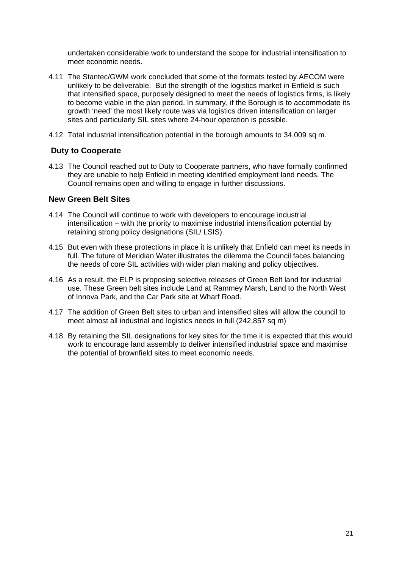undertaken considerable work to understand the scope for industrial intensification to meet economic needs.

- 4.11 The Stantec/GWM work concluded that some of the formats tested by AECOM were unlikely to be deliverable. But the strength of the logistics market in Enfield is such that intensified space, purposely designed to meet the needs of logistics firms, is likely to become viable in the plan period. In summary, if the Borough is to accommodate its growth 'need' the most likely route was via logistics driven intensification on larger sites and particularly SIL sites where 24-hour operation is possible.
- 4.12 Total industrial intensification potential in the borough amounts to 34,009 sq m.

# **Duty to Cooperate**

4.13 The Council reached out to Duty to Cooperate partners, who have formally confirmed they are unable to help Enfield in meeting identified employment land needs. The Council remains open and willing to engage in further discussions.

#### **New Green Belt Sites**

- 4.14 The Council will continue to work with developers to encourage industrial intensification – with the priority to maximise industrial intensification potential by retaining strong policy designations (SIL/ LSIS).
- 4.15 But even with these protections in place it is unlikely that Enfield can meet its needs in full. The future of Meridian Water illustrates the dilemma the Council faces balancing the needs of core SIL activities with wider plan making and policy objectives.
- 4.16 As a result, the ELP is proposing selective releases of Green Belt land for industrial use. These Green belt sites include Land at Rammey Marsh, Land to the North West of Innova Park, and the Car Park site at Wharf Road.
- 4.17 The addition of Green Belt sites to urban and intensified sites will allow the council to meet almost all industrial and logistics needs in full (242,857 sq m)
- 4.18 By retaining the SIL designations for key sites for the time it is expected that this would work to encourage land assembly to deliver intensified industrial space and maximise the potential of brownfield sites to meet economic needs.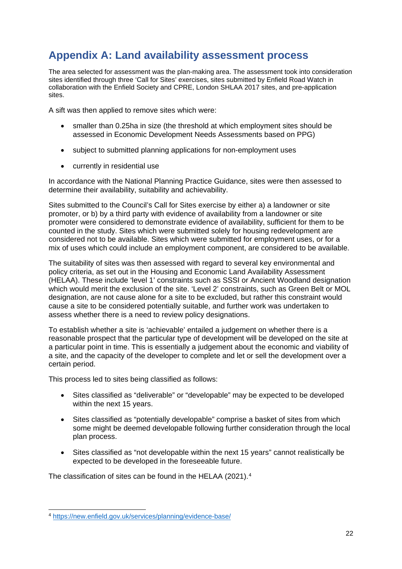# <span id="page-21-0"></span>**Appendix A: Land availability assessment process**

The area selected for assessment was the plan-making area. The assessment took into consideration sites identified through three 'Call for Sites' exercises, sites submitted by Enfield Road Watch in collaboration with the Enfield Society and CPRE, London SHLAA 2017 sites, and pre-application sites.

A sift was then applied to remove sites which were:

- smaller than 0.25ha in size (the threshold at which employment sites should be assessed in Economic Development Needs Assessments based on PPG)
- subject to submitted planning applications for non-employment uses
- currently in residential use

In accordance with the National Planning Practice Guidance, sites were then assessed to determine their availability, suitability and achievability.

Sites submitted to the Council's Call for Sites exercise by either a) a landowner or site promoter, or b) by a third party with evidence of availability from a landowner or site promoter were considered to demonstrate evidence of availability, sufficient for them to be counted in the study. Sites which were submitted solely for housing redevelopment are considered not to be available. Sites which were submitted for employment uses, or for a mix of uses which could include an employment component, are considered to be available.

The suitability of sites was then assessed with regard to several key environmental and policy criteria, as set out in the Housing and Economic Land Availability Assessment (HELAA). These include 'level 1' constraints such as SSSI or Ancient Woodland designation which would merit the exclusion of the site. 'Level 2' constraints, such as Green Belt or MOL designation, are not cause alone for a site to be excluded, but rather this constraint would cause a site to be considered potentially suitable, and further work was undertaken to assess whether there is a need to review policy designations.

To establish whether a site is 'achievable' entailed a judgement on whether there is a reasonable prospect that the particular type of development will be developed on the site at a particular point in time. This is essentially a judgement about the economic and viability of a site, and the capacity of the developer to complete and let or sell the development over a certain period.

This process led to sites being classified as follows:

- Sites classified as "deliverable" or "developable" may be expected to be developed within the next 15 years.
- Sites classified as "potentially developable" comprise a basket of sites from which some might be deemed developable following further consideration through the local plan process.
- Sites classified as "not developable within the next 15 years" cannot realistically be expected to be developed in the foreseeable future.

The classification of sites can be found in the HELAA (2021).[4](#page-21-1)

<span id="page-21-1"></span> <sup>4</sup> <https://new.enfield.gov.uk/services/planning/evidence-base/>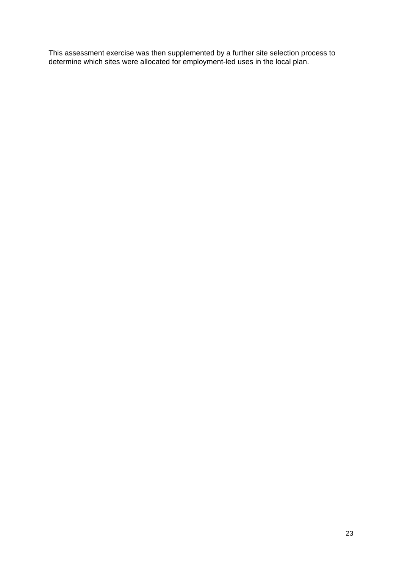This assessment exercise was then supplemented by a further site selection process to determine which sites were allocated for employment-led uses in the local plan.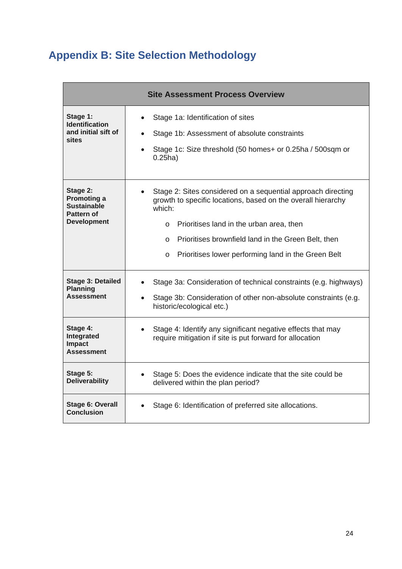# <span id="page-23-0"></span>**Appendix B: Site Selection Methodology**

| <b>Site Assessment Process Overview</b>                                                         |                                                                                                                                                                                                                                                                                                                           |  |  |
|-------------------------------------------------------------------------------------------------|---------------------------------------------------------------------------------------------------------------------------------------------------------------------------------------------------------------------------------------------------------------------------------------------------------------------------|--|--|
| Stage 1:<br><b>Identification</b><br>and initial sift of<br>sites                               | Stage 1a: Identification of sites<br>Stage 1b: Assessment of absolute constraints<br>Stage 1c: Size threshold (50 homes+ or 0.25ha / 500sqm or<br>$0.25$ ha)                                                                                                                                                              |  |  |
| Stage 2:<br><b>Promoting a</b><br><b>Sustainable</b><br><b>Pattern of</b><br><b>Development</b> | Stage 2: Sites considered on a sequential approach directing<br>growth to specific locations, based on the overall hierarchy<br>which:<br>o Prioritises land in the urban area, then<br>Prioritises brownfield land in the Green Belt, then<br>$\Omega$<br>Prioritises lower performing land in the Green Belt<br>$\circ$ |  |  |
| <b>Stage 3: Detailed</b><br><b>Planning</b><br><b>Assessment</b>                                | Stage 3a: Consideration of technical constraints (e.g. highways)<br>Stage 3b: Consideration of other non-absolute constraints (e.g.<br>historic/ecological etc.)                                                                                                                                                          |  |  |
| Stage 4:<br>Integrated<br><b>Impact</b><br><b>Assessment</b>                                    | Stage 4: Identify any significant negative effects that may<br>require mitigation if site is put forward for allocation                                                                                                                                                                                                   |  |  |
| Stage 5:<br><b>Deliverability</b>                                                               | Stage 5: Does the evidence indicate that the site could be<br>delivered within the plan period?                                                                                                                                                                                                                           |  |  |
| Stage 6: Overall<br>Stage 6: Identification of preferred site allocations.<br><b>Conclusion</b> |                                                                                                                                                                                                                                                                                                                           |  |  |